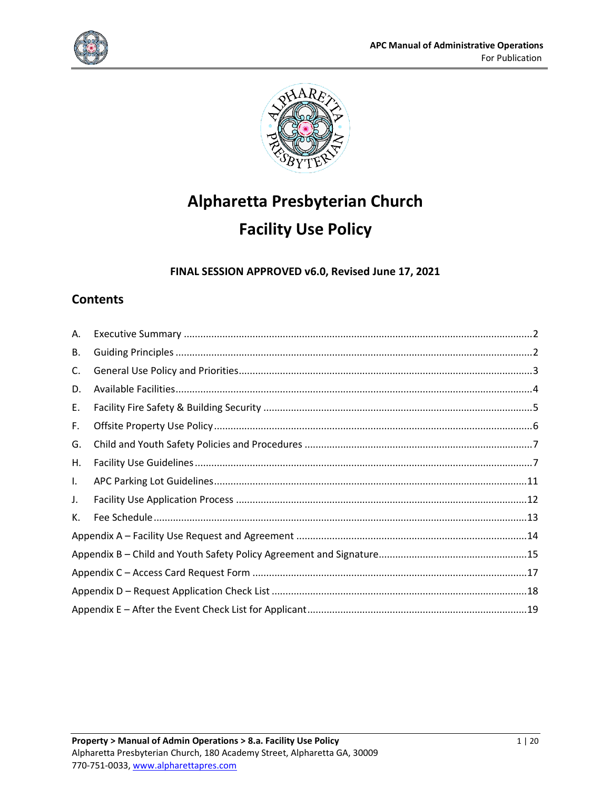



# **Alpharetta Presbyterian Church Facility Use Policy**

**FINAL SESSION APPROVED v6.0, Revised June 17, 2021**

# **Contents**

| А. |  |  |  |
|----|--|--|--|
| В. |  |  |  |
| C. |  |  |  |
| D. |  |  |  |
| Ε. |  |  |  |
| F. |  |  |  |
| G. |  |  |  |
| Η. |  |  |  |
| L. |  |  |  |
| J. |  |  |  |
| К. |  |  |  |
|    |  |  |  |
|    |  |  |  |
|    |  |  |  |
|    |  |  |  |
|    |  |  |  |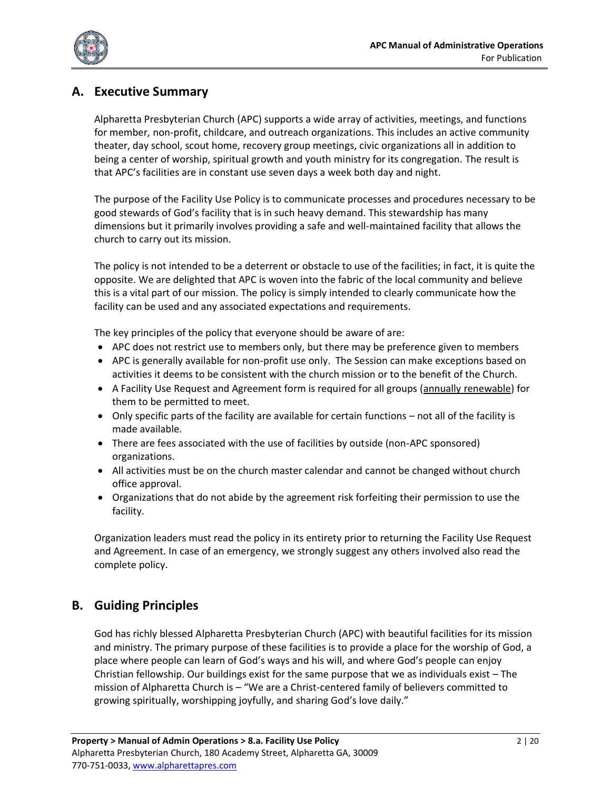

# <span id="page-1-0"></span>**A. Executive Summary**

Alpharetta Presbyterian Church (APC) supports a wide array of activities, meetings, and functions for member, non-profit, childcare, and outreach organizations. This includes an active community theater, day school, scout home, recovery group meetings, civic organizations all in addition to being a center of worship, spiritual growth and youth ministry for its congregation. The result is that APC's facilities are in constant use seven days a week both day and night.

The purpose of the Facility Use Policy is to communicate processes and procedures necessary to be good stewards of God's facility that is in such heavy demand. This stewardship has many dimensions but it primarily involves providing a safe and well-maintained facility that allows the church to carry out its mission.

The policy is not intended to be a deterrent or obstacle to use of the facilities; in fact, it is quite the opposite. We are delighted that APC is woven into the fabric of the local community and believe this is a vital part of our mission. The policy is simply intended to clearly communicate how the facility can be used and any associated expectations and requirements.

The key principles of the policy that everyone should be aware of are:

- APC does not restrict use to members only, but there may be preference given to members
- APC is generally available for non-profit use only. The Session can make exceptions based on activities it deems to be consistent with the church mission or to the benefit of the Church.
- A Facility Use Request and Agreement form is required for all groups (annually renewable) for them to be permitted to meet.
- Only specific parts of the facility are available for certain functions not all of the facility is made available.
- There are fees associated with the use of facilities by outside (non-APC sponsored) organizations.
- All activities must be on the church master calendar and cannot be changed without church office approval.
- Organizations that do not abide by the agreement risk forfeiting their permission to use the facility.

Organization leaders must read the policy in its entirety prior to returning the Facility Use Request and Agreement. In case of an emergency, we strongly suggest any others involved also read the complete policy.

# <span id="page-1-1"></span>**B. Guiding Principles**

God has richly blessed Alpharetta Presbyterian Church (APC) with beautiful facilities for its mission and ministry. The primary purpose of these facilities is to provide a place for the worship of God, a place where people can learn of God's ways and his will, and where God's people can enjoy Christian fellowship. Our buildings exist for the same purpose that we as individuals exist – The mission of Alpharetta Church is – "We are a Christ-centered family of believers committed to growing spiritually, worshipping joyfully, and sharing God's love daily."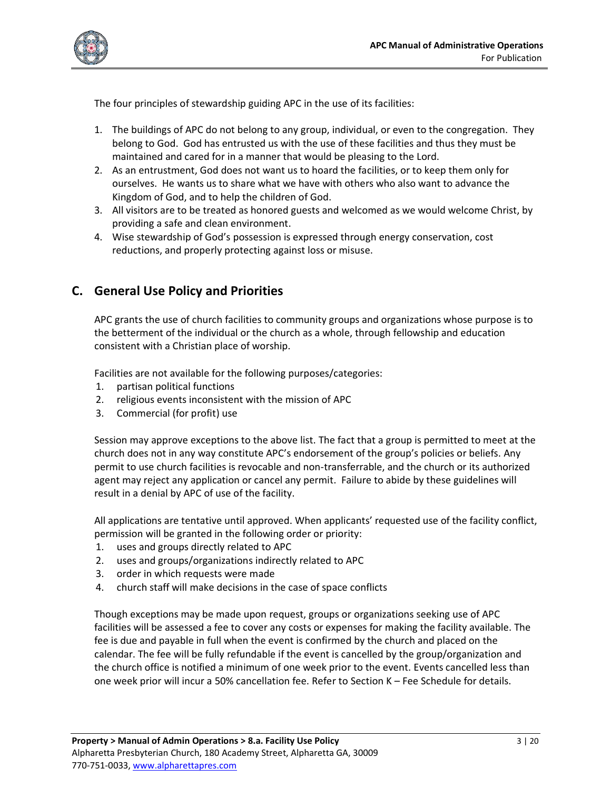

The four principles of stewardship guiding APC in the use of its facilities:

- 1. The buildings of APC do not belong to any group, individual, or even to the congregation. They belong to God. God has entrusted us with the use of these facilities and thus they must be maintained and cared for in a manner that would be pleasing to the Lord.
- 2. As an entrustment, God does not want us to hoard the facilities, or to keep them only for ourselves. He wants us to share what we have with others who also want to advance the Kingdom of God, and to help the children of God.
- 3. All visitors are to be treated as honored guests and welcomed as we would welcome Christ, by providing a safe and clean environment.
- 4. Wise stewardship of God's possession is expressed through energy conservation, cost reductions, and properly protecting against loss or misuse.

# <span id="page-2-0"></span>**C. General Use Policy and Priorities**

APC grants the use of church facilities to community groups and organizations whose purpose is to the betterment of the individual or the church as a whole, through fellowship and education consistent with a Christian place of worship.

Facilities are not available for the following purposes/categories:

- 1. partisan political functions
- 2. religious events inconsistent with the mission of APC
- 3. Commercial (for profit) use

Session may approve exceptions to the above list. The fact that a group is permitted to meet at the church does not in any way constitute APC's endorsement of the group's policies or beliefs. Any permit to use church facilities is revocable and non-transferrable, and the church or its authorized agent may reject any application or cancel any permit. Failure to abide by these guidelines will result in a denial by APC of use of the facility.

All applications are tentative until approved. When applicants' requested use of the facility conflict, permission will be granted in the following order or priority:

- 1. uses and groups directly related to APC
- 2. uses and groups/organizations indirectly related to APC
- 3. order in which requests were made
- 4. church staff will make decisions in the case of space conflicts

Though exceptions may be made upon request, groups or organizations seeking use of APC facilities will be assessed a fee to cover any costs or expenses for making the facility available. The fee is due and payable in full when the event is confirmed by the church and placed on the calendar. The fee will be fully refundable if the event is cancelled by the group/organization and the church office is notified a minimum of one week prior to the event. Events cancelled less than one week prior will incur a 50% cancellation fee. Refer to Section K – Fee Schedule for details.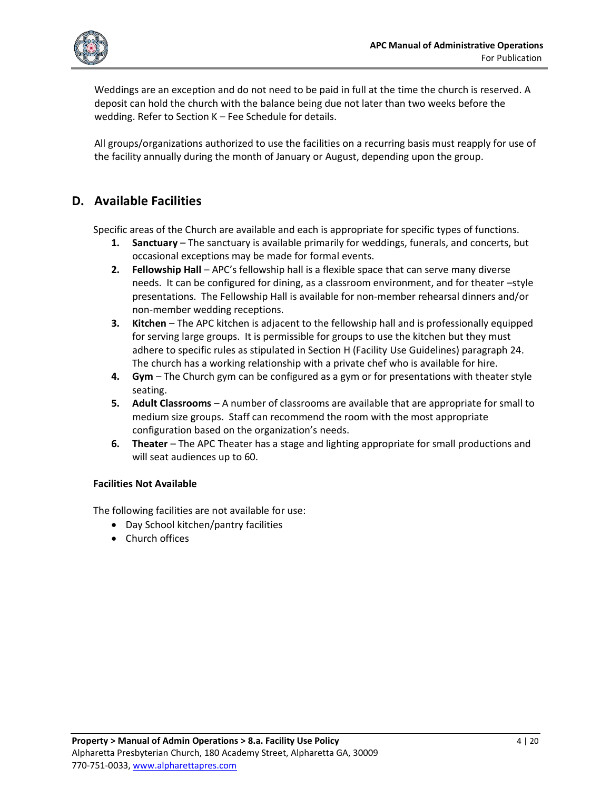

Weddings are an exception and do not need to be paid in full at the time the church is reserved. A deposit can hold the church with the balance being due not later than two weeks before the wedding. Refer to Section K – Fee Schedule for details.

All groups/organizations authorized to use the facilities on a recurring basis must reapply for use of the facility annually during the month of January or August, depending upon the group.

# <span id="page-3-0"></span>**D. Available Facilities**

Specific areas of the Church are available and each is appropriate for specific types of functions.

- **1. Sanctuary** The sanctuary is available primarily for weddings, funerals, and concerts, but occasional exceptions may be made for formal events.
- **2. Fellowship Hall** APC's fellowship hall is a flexible space that can serve many diverse needs. It can be configured for dining, as a classroom environment, and for theater –style presentations. The Fellowship Hall is available for non-member rehearsal dinners and/or non-member wedding receptions.
- **3. Kitchen** The APC kitchen is adjacent to the fellowship hall and is professionally equipped for serving large groups. It is permissible for groups to use the kitchen but they must adhere to specific rules as stipulated in Section H (Facility Use Guidelines) paragraph 24. The church has a working relationship with a private chef who is available for hire.
- **4. Gym** The Church gym can be configured as a gym or for presentations with theater style seating.
- **5. Adult Classrooms** A number of classrooms are available that are appropriate for small to medium size groups. Staff can recommend the room with the most appropriate configuration based on the organization's needs.
- **6. Theater** The APC Theater has a stage and lighting appropriate for small productions and will seat audiences up to 60.

### **Facilities Not Available**

The following facilities are not available for use:

- Day School kitchen/pantry facilities
- Church offices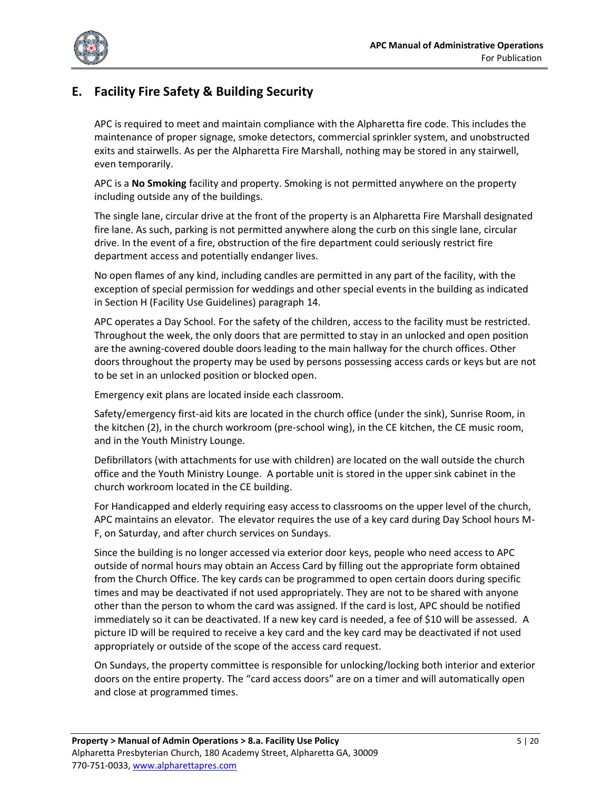

# <span id="page-4-0"></span>**E. Facility Fire Safety & Building Security**

APC is required to meet and maintain compliance with the Alpharetta fire code. This includes the maintenance of proper signage, smoke detectors, commercial sprinkler system, and unobstructed exits and stairwells. As per the Alpharetta Fire Marshall, nothing may be stored in any stairwell, even temporarily.

APC is a **No Smoking** facility and property. Smoking is not permitted anywhere on the property including outside any of the buildings.

The single lane, circular drive at the front of the property is an Alpharetta Fire Marshall designated fire lane. As such, parking is not permitted anywhere along the curb on this single lane, circular drive. In the event of a fire, obstruction of the fire department could seriously restrict fire department access and potentially endanger lives.

No open flames of any kind, including candles are permitted in any part of the facility, with the exception of special permission for weddings and other special events in the building as indicated in Section H (Facility Use Guidelines) paragraph 14.

APC operates a Day School. For the safety of the children, access to the facility must be restricted. Throughout the week, the only doors that are permitted to stay in an unlocked and open position are the awning-covered double doors leading to the main hallway for the church offices. Other doors throughout the property may be used by persons possessing access cards or keys but are not to be set in an unlocked position or blocked open.

Emergency exit plans are located inside each classroom.

Safety/emergency first-aid kits are located in the church office (under the sink), Sunrise Room, in the kitchen (2), in the church workroom (pre-school wing), in the CE kitchen, the CE music room, and in the Youth Ministry Lounge.

Defibrillators (with attachments for use with children) are located on the wall outside the church office and the Youth Ministry Lounge. A portable unit is stored in the upper sink cabinet in the church workroom located in the CE building.

For Handicapped and elderly requiring easy access to classrooms on the upper level of the church, APC maintains an elevator. The elevator requires the use of a key card during Day School hours M-F, on Saturday, and after church services on Sundays.

Since the building is no longer accessed via exterior door keys, people who need access to APC outside of normal hours may obtain an Access Card by filling out the appropriate form obtained from the Church Office. The key cards can be programmed to open certain doors during specific times and may be deactivated if not used appropriately. They are not to be shared with anyone other than the person to whom the card was assigned. If the card is lost, APC should be notified immediately so it can be deactivated. If a new key card is needed, a fee of \$10 will be assessed. A picture ID will be required to receive a key card and the key card may be deactivated if not used appropriately or outside of the scope of the access card request.

On Sundays, the property committee is responsible for unlocking/locking both interior and exterior doors on the entire property. The "card access doors" are on a timer and will automatically open and close at programmed times.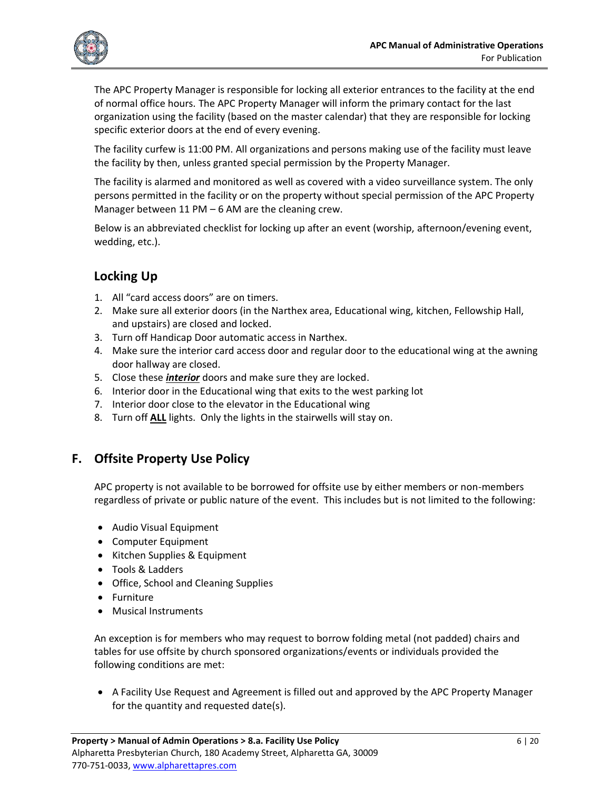

The APC Property Manager is responsible for locking all exterior entrances to the facility at the end of normal office hours. The APC Property Manager will inform the primary contact for the last organization using the facility (based on the master calendar) that they are responsible for locking specific exterior doors at the end of every evening.

The facility curfew is 11:00 PM. All organizations and persons making use of the facility must leave the facility by then, unless granted special permission by the Property Manager.

The facility is alarmed and monitored as well as covered with a video surveillance system. The only persons permitted in the facility or on the property without special permission of the APC Property Manager between 11 PM – 6 AM are the cleaning crew.

Below is an abbreviated checklist for locking up after an event (worship, afternoon/evening event, wedding, etc.).

# **Locking Up**

- 1. All "card access doors" are on timers.
- 2. Make sure all exterior doors (in the Narthex area, Educational wing, kitchen, Fellowship Hall, and upstairs) are closed and locked.
- 3. Turn off Handicap Door automatic access in Narthex.
- 4. Make sure the interior card access door and regular door to the educational wing at the awning door hallway are closed.
- 5. Close these *interior* doors and make sure they are locked.
- 6. Interior door in the Educational wing that exits to the west parking lot
- 7. Interior door close to the elevator in the Educational wing
- 8. Turn off **ALL** lights. Only the lights in the stairwells will stay on.

# <span id="page-5-0"></span>**F. Offsite Property Use Policy**

APC property is not available to be borrowed for offsite use by either members or non-members regardless of private or public nature of the event. This includes but is not limited to the following:

- Audio Visual Equipment
- Computer Equipment
- Kitchen Supplies & Equipment
- Tools & Ladders
- Office, School and Cleaning Supplies
- Furniture
- Musical Instruments

An exception is for members who may request to borrow folding metal (not padded) chairs and tables for use offsite by church sponsored organizations/events or individuals provided the following conditions are met:

• A Facility Use Request and Agreement is filled out and approved by the APC Property Manager for the quantity and requested date(s).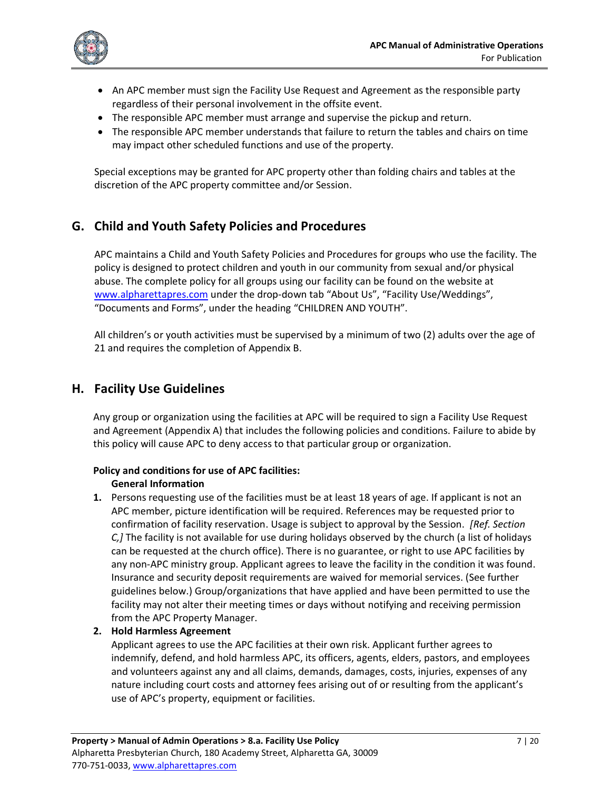

- An APC member must sign the Facility Use Request and Agreement as the responsible party regardless of their personal involvement in the offsite event.
- The responsible APC member must arrange and supervise the pickup and return.
- The responsible APC member understands that failure to return the tables and chairs on time may impact other scheduled functions and use of the property.

Special exceptions may be granted for APC property other than folding chairs and tables at the discretion of the APC property committee and/or Session.

# <span id="page-6-0"></span>**G. Child and Youth Safety Policies and Procedures**

APC maintains a Child and Youth Safety Policies and Procedures for groups who use the facility. The policy is designed to protect children and youth in our community from sexual and/or physical abuse. The complete policy for all groups using our facility can be found on the website at [www.alpharettapres.com](http://www.alpharettapres.com/) under the drop-down tab "About Us", "Facility Use/Weddings", "Documents and Forms", under the heading "CHILDREN AND YOUTH".

All children's or youth activities must be supervised by a minimum of two (2) adults over the age of 21 and requires the completion of Appendix B.

# <span id="page-6-1"></span>**H. Facility Use Guidelines**

Any group or organization using the facilities at APC will be required to sign a Facility Use Request and Agreement (Appendix A) that includes the following policies and conditions. Failure to abide by this policy will cause APC to deny access to that particular group or organization.

### **Policy and conditions for use of APC facilities:**

#### **General Information**

**1.** Persons requesting use of the facilities must be at least 18 years of age. If applicant is not an APC member, picture identification will be required. References may be requested prior to confirmation of facility reservation. Usage is subject to approval by the Session. *[Ref. Section C,]* The facility is not available for use during holidays observed by the church (a list of holidays can be requested at the church office). There is no guarantee, or right to use APC facilities by any non-APC ministry group. Applicant agrees to leave the facility in the condition it was found. Insurance and security deposit requirements are waived for memorial services. (See further guidelines below.) Group/organizations that have applied and have been permitted to use the facility may not alter their meeting times or days without notifying and receiving permission from the APC Property Manager.

#### **2. Hold Harmless Agreement**

Applicant agrees to use the APC facilities at their own risk. Applicant further agrees to indemnify, defend, and hold harmless APC, its officers, agents, elders, pastors, and employees and volunteers against any and all claims, demands, damages, costs, injuries, expenses of any nature including court costs and attorney fees arising out of or resulting from the applicant's use of APC's property, equipment or facilities.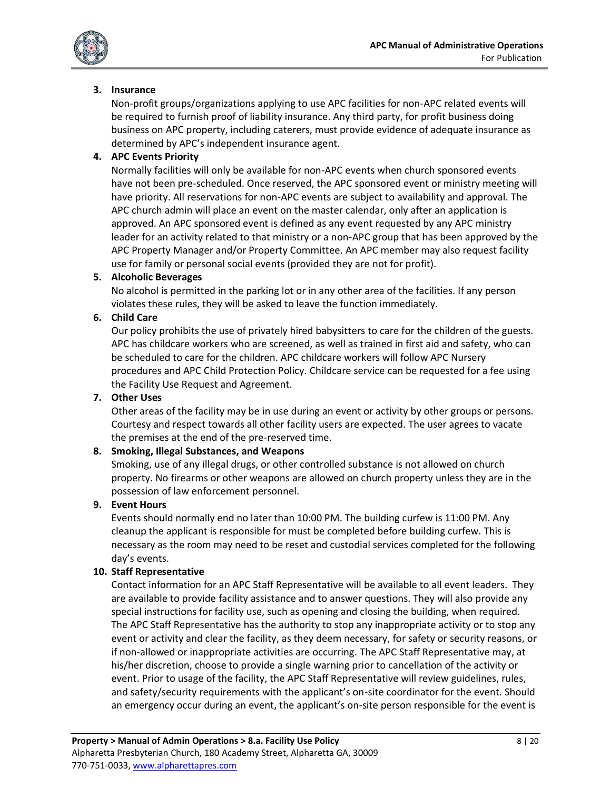

#### **3. Insurance**

Non-profit groups/organizations applying to use APC facilities for non-APC related events will be required to furnish proof of liability insurance. Any third party, for profit business doing business on APC property, including caterers, must provide evidence of adequate insurance as determined by APC's independent insurance agent.

#### **4. APC Events Priority**

Normally facilities will only be available for non-APC events when church sponsored events have not been pre-scheduled. Once reserved, the APC sponsored event or ministry meeting will have priority. All reservations for non-APC events are subject to availability and approval. The APC church admin will place an event on the master calendar, only after an application is approved. An APC sponsored event is defined as any event requested by any APC ministry leader for an activity related to that ministry or a non-APC group that has been approved by the APC Property Manager and/or Property Committee. An APC member may also request facility use for family or personal social events (provided they are not for profit).

#### **5. Alcoholic Beverages**

No alcohol is permitted in the parking lot or in any other area of the facilities. If any person violates these rules, they will be asked to leave the function immediately.

#### **6. Child Care**

Our policy prohibits the use of privately hired babysitters to care for the children of the guests. APC has childcare workers who are screened, as well as trained in first aid and safety, who can be scheduled to care for the children. APC childcare workers will follow APC Nursery procedures and APC Child Protection Policy. Childcare service can be requested for a fee using the Facility Use Request and Agreement.

#### **7. Other Uses**

Other areas of the facility may be in use during an event or activity by other groups or persons. Courtesy and respect towards all other facility users are expected. The user agrees to vacate the premises at the end of the pre-reserved time.

#### **8. Smoking, Illegal Substances, and Weapons**

Smoking, use of any illegal drugs, or other controlled substance is not allowed on church property. No firearms or other weapons are allowed on church property unless they are in the possession of law enforcement personnel.

#### **9. Event Hours**

Events should normally end no later than 10:00 PM. The building curfew is 11:00 PM. Any cleanup the applicant is responsible for must be completed before building curfew. This is necessary as the room may need to be reset and custodial services completed for the following day's events.

#### **10. Staff Representative**

Contact information for an APC Staff Representative will be available to all event leaders. They are available to provide facility assistance and to answer questions. They will also provide any special instructions for facility use, such as opening and closing the building, when required. The APC Staff Representative has the authority to stop any inappropriate activity or to stop any event or activity and clear the facility, as they deem necessary, for safety or security reasons, or if non-allowed or inappropriate activities are occurring. The APC Staff Representative may, at his/her discretion, choose to provide a single warning prior to cancellation of the activity or event. Prior to usage of the facility, the APC Staff Representative will review guidelines, rules, and safety/security requirements with the applicant's on-site coordinator for the event. Should an emergency occur during an event, the applicant's on-site person responsible for the event is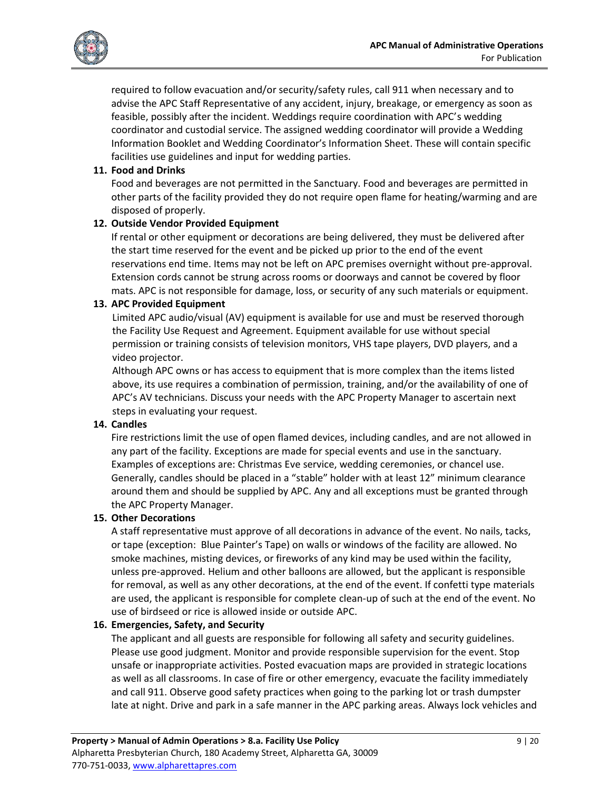

required to follow evacuation and/or security/safety rules, call 911 when necessary and to advise the APC Staff Representative of any accident, injury, breakage, or emergency as soon as feasible, possibly after the incident. Weddings require coordination with APC's wedding coordinator and custodial service. The assigned wedding coordinator will provide a Wedding Information Booklet and Wedding Coordinator's Information Sheet. These will contain specific facilities use guidelines and input for wedding parties.

### **11. Food and Drinks**

Food and beverages are not permitted in the Sanctuary. Food and beverages are permitted in other parts of the facility provided they do not require open flame for heating/warming and are disposed of properly.

### **12. Outside Vendor Provided Equipment**

If rental or other equipment or decorations are being delivered, they must be delivered after the start time reserved for the event and be picked up prior to the end of the event reservations end time. Items may not be left on APC premises overnight without pre-approval. Extension cords cannot be strung across rooms or doorways and cannot be covered by floor mats. APC is not responsible for damage, loss, or security of any such materials or equipment.

### **13. APC Provided Equipment**

Limited APC audio/visual (AV) equipment is available for use and must be reserved thorough the Facility Use Request and Agreement. Equipment available for use without special permission or training consists of television monitors, VHS tape players, DVD players, and a video projector.

Although APC owns or has access to equipment that is more complex than the items listed above, its use requires a combination of permission, training, and/or the availability of one of APC's AV technicians. Discuss your needs with the APC Property Manager to ascertain next steps in evaluating your request.

### **14. Candles**

Fire restrictions limit the use of open flamed devices, including candles, and are not allowed in any part of the facility. Exceptions are made for special events and use in the sanctuary. Examples of exceptions are: Christmas Eve service, wedding ceremonies, or chancel use. Generally, candles should be placed in a "stable" holder with at least 12" minimum clearance around them and should be supplied by APC. Any and all exceptions must be granted through the APC Property Manager.

#### **15. Other Decorations**

A staff representative must approve of all decorations in advance of the event. No nails, tacks, or tape (exception: Blue Painter's Tape) on walls or windows of the facility are allowed. No smoke machines, misting devices, or fireworks of any kind may be used within the facility, unless pre-approved. Helium and other balloons are allowed, but the applicant is responsible for removal, as well as any other decorations, at the end of the event. If confetti type materials are used, the applicant is responsible for complete clean-up of such at the end of the event. No use of birdseed or rice is allowed inside or outside APC.

### **16. Emergencies, Safety, and Security**

The applicant and all guests are responsible for following all safety and security guidelines. Please use good judgment. Monitor and provide responsible supervision for the event. Stop unsafe or inappropriate activities. Posted evacuation maps are provided in strategic locations as well as all classrooms. In case of fire or other emergency, evacuate the facility immediately and call 911. Observe good safety practices when going to the parking lot or trash dumpster late at night. Drive and park in a safe manner in the APC parking areas. Always lock vehicles and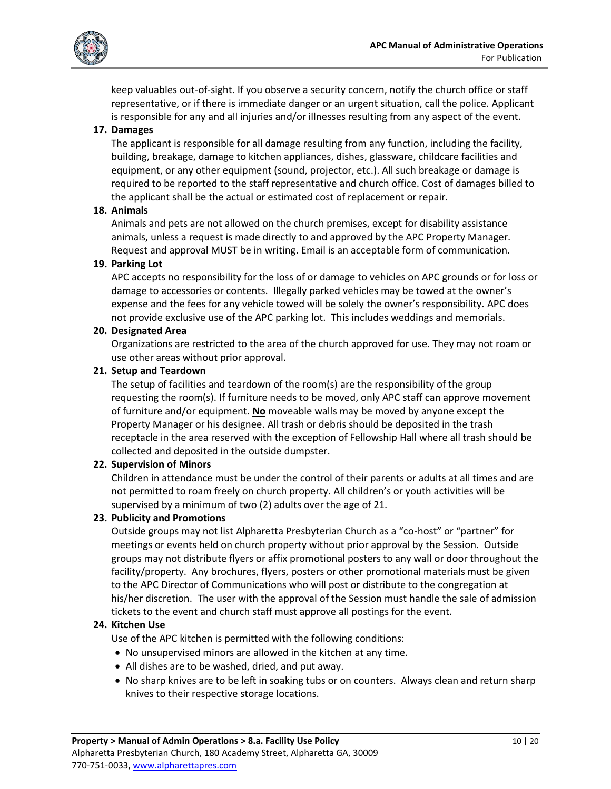

keep valuables out-of-sight. If you observe a security concern, notify the church office or staff representative, or if there is immediate danger or an urgent situation, call the police. Applicant is responsible for any and all injuries and/or illnesses resulting from any aspect of the event.

## **17. Damages**

The applicant is responsible for all damage resulting from any function, including the facility, building, breakage, damage to kitchen appliances, dishes, glassware, childcare facilities and equipment, or any other equipment (sound, projector, etc.). All such breakage or damage is required to be reported to the staff representative and church office. Cost of damages billed to the applicant shall be the actual or estimated cost of replacement or repair.

### **18. Animals**

Animals and pets are not allowed on the church premises, except for disability assistance animals, unless a request is made directly to and approved by the APC Property Manager. Request and approval MUST be in writing. Email is an acceptable form of communication.

### **19. Parking Lot**

APC accepts no responsibility for the loss of or damage to vehicles on APC grounds or for loss or damage to accessories or contents. Illegally parked vehicles may be towed at the owner's expense and the fees for any vehicle towed will be solely the owner's responsibility. APC does not provide exclusive use of the APC parking lot. This includes weddings and memorials.

#### **20. Designated Area**

Organizations are restricted to the area of the church approved for use. They may not roam or use other areas without prior approval.

#### **21. Setup and Teardown**

The setup of facilities and teardown of the room(s) are the responsibility of the group requesting the room(s). If furniture needs to be moved, only APC staff can approve movement of furniture and/or equipment. **No** moveable walls may be moved by anyone except the Property Manager or his designee. All trash or debris should be deposited in the trash receptacle in the area reserved with the exception of Fellowship Hall where all trash should be collected and deposited in the outside dumpster.

### **22. Supervision of Minors**

Children in attendance must be under the control of their parents or adults at all times and are not permitted to roam freely on church property. All children's or youth activities will be supervised by a minimum of two (2) adults over the age of 21.

#### **23. Publicity and Promotions**

Outside groups may not list Alpharetta Presbyterian Church as a "co-host" or "partner" for meetings or events held on church property without prior approval by the Session. Outside groups may not distribute flyers or affix promotional posters to any wall or door throughout the facility/property. Any brochures, flyers, posters or other promotional materials must be given to the APC Director of Communications who will post or distribute to the congregation at his/her discretion. The user with the approval of the Session must handle the sale of admission tickets to the event and church staff must approve all postings for the event.

### **24. Kitchen Use**

Use of the APC kitchen is permitted with the following conditions:

- No unsupervised minors are allowed in the kitchen at any time.
- All dishes are to be washed, dried, and put away.
- No sharp knives are to be left in soaking tubs or on counters. Always clean and return sharp knives to their respective storage locations.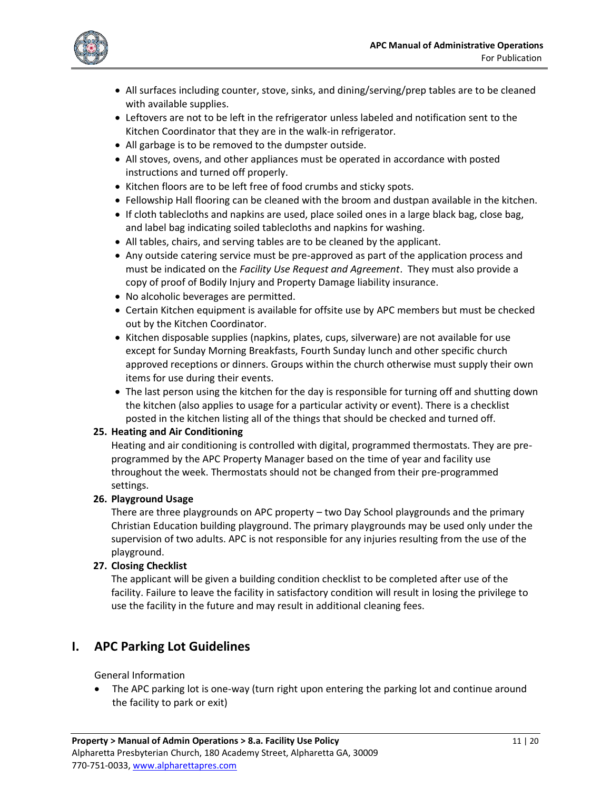

- All surfaces including counter, stove, sinks, and dining/serving/prep tables are to be cleaned with available supplies.
- Leftovers are not to be left in the refrigerator unless labeled and notification sent to the Kitchen Coordinator that they are in the walk-in refrigerator.
- All garbage is to be removed to the dumpster outside.
- All stoves, ovens, and other appliances must be operated in accordance with posted instructions and turned off properly.
- Kitchen floors are to be left free of food crumbs and sticky spots.
- Fellowship Hall flooring can be cleaned with the broom and dustpan available in the kitchen.
- If cloth tablecloths and napkins are used, place soiled ones in a large black bag, close bag, and label bag indicating soiled tablecloths and napkins for washing.
- All tables, chairs, and serving tables are to be cleaned by the applicant.
- Any outside catering service must be pre-approved as part of the application process and must be indicated on the *Facility Use Request and Agreement*. They must also provide a copy of proof of Bodily Injury and Property Damage liability insurance.
- No alcoholic beverages are permitted.
- Certain Kitchen equipment is available for offsite use by APC members but must be checked out by the Kitchen Coordinator.
- Kitchen disposable supplies (napkins, plates, cups, silverware) are not available for use except for Sunday Morning Breakfasts, Fourth Sunday lunch and other specific church approved receptions or dinners. Groups within the church otherwise must supply their own items for use during their events.
- The last person using the kitchen for the day is responsible for turning off and shutting down the kitchen (also applies to usage for a particular activity or event). There is a checklist posted in the kitchen listing all of the things that should be checked and turned off.

### **25. Heating and Air Conditioning**

Heating and air conditioning is controlled with digital, programmed thermostats. They are preprogrammed by the APC Property Manager based on the time of year and facility use throughout the week. Thermostats should not be changed from their pre-programmed settings.

### **26. Playground Usage**

There are three playgrounds on APC property – two Day School playgrounds and the primary Christian Education building playground. The primary playgrounds may be used only under the supervision of two adults. APC is not responsible for any injuries resulting from the use of the playground.

### **27. Closing Checklist**

The applicant will be given a building condition checklist to be completed after use of the facility. Failure to leave the facility in satisfactory condition will result in losing the privilege to use the facility in the future and may result in additional cleaning fees.

# <span id="page-10-0"></span>**I. APC Parking Lot Guidelines**

### General Information

• The APC parking lot is one-way (turn right upon entering the parking lot and continue around the facility to park or exit)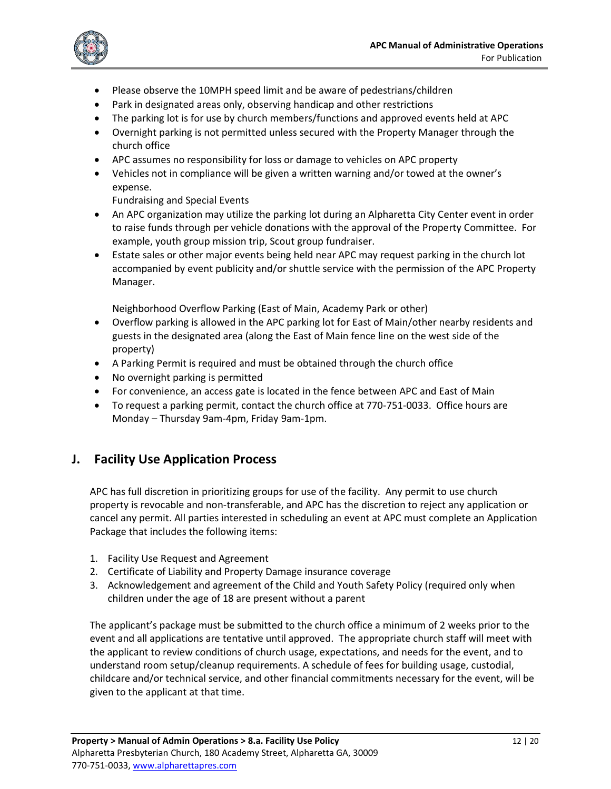

- Please observe the 10MPH speed limit and be aware of pedestrians/children
- Park in designated areas only, observing handicap and other restrictions
- The parking lot is for use by church members/functions and approved events held at APC
- Overnight parking is not permitted unless secured with the Property Manager through the church office
- APC assumes no responsibility for loss or damage to vehicles on APC property
- Vehicles not in compliance will be given a written warning and/or towed at the owner's expense.

Fundraising and Special Events

- An APC organization may utilize the parking lot during an Alpharetta City Center event in order to raise funds through per vehicle donations with the approval of the Property Committee. For example, youth group mission trip, Scout group fundraiser.
- Estate sales or other major events being held near APC may request parking in the church lot accompanied by event publicity and/or shuttle service with the permission of the APC Property Manager.

Neighborhood Overflow Parking (East of Main, Academy Park or other)

- Overflow parking is allowed in the APC parking lot for East of Main/other nearby residents and guests in the designated area (along the East of Main fence line on the west side of the property)
- A Parking Permit is required and must be obtained through the church office
- No overnight parking is permitted
- For convenience, an access gate is located in the fence between APC and East of Main
- To request a parking permit, contact the church office at 770-751-0033. Office hours are Monday – Thursday 9am-4pm, Friday 9am-1pm.

# <span id="page-11-0"></span>**J. Facility Use Application Process**

APC has full discretion in prioritizing groups for use of the facility. Any permit to use church property is revocable and non-transferable, and APC has the discretion to reject any application or cancel any permit. All parties interested in scheduling an event at APC must complete an Application Package that includes the following items:

- 1. Facility Use Request and Agreement
- 2. Certificate of Liability and Property Damage insurance coverage
- 3. Acknowledgement and agreement of the Child and Youth Safety Policy (required only when children under the age of 18 are present without a parent

The applicant's package must be submitted to the church office a minimum of 2 weeks prior to the event and all applications are tentative until approved. The appropriate church staff will meet with the applicant to review conditions of church usage, expectations, and needs for the event, and to understand room setup/cleanup requirements. A schedule of fees for building usage, custodial, childcare and/or technical service, and other financial commitments necessary for the event, will be given to the applicant at that time.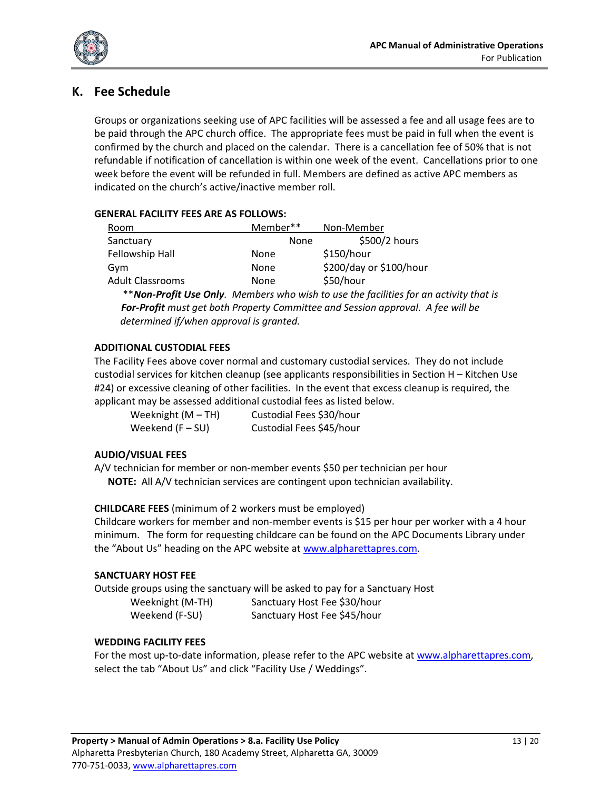

# <span id="page-12-0"></span>**K. Fee Schedule**

Groups or organizations seeking use of APC facilities will be assessed a fee and all usage fees are to be paid through the APC church office. The appropriate fees must be paid in full when the event is confirmed by the church and placed on the calendar. There is a cancellation fee of 50% that is not refundable if notification of cancellation is within one week of the event. Cancellations prior to one week before the event will be refunded in full. Members are defined as active APC members as indicated on the church's active/inactive member roll.

### **GENERAL FACILITY FEES ARE AS FOLLOWS:**

| Room                    | Member** | Non-Member              |  |
|-------------------------|----------|-------------------------|--|
| Sanctuary               | None     | \$500/2 hours           |  |
| Fellowship Hall         | None     | \$150/hour              |  |
| Gym                     | None     | \$200/day or \$100/hour |  |
| <b>Adult Classrooms</b> | None     | \$50/hour               |  |

 \*\**Non-Profit Use Only. Members who wish to use the facilities for an activity that is For-Profit must get both Property Committee and Session approval. A fee will be determined if/when approval is granted.*

#### **ADDITIONAL CUSTODIAL FEES**

The Facility Fees above cover normal and customary custodial services. They do not include custodial services for kitchen cleanup (see applicants responsibilities in Section H – Kitchen Use #24) or excessive cleaning of other facilities. In the event that excess cleanup is required, the applicant may be assessed additional custodial fees as listed below.

| Weeknight $(M-TH)$ | Custodial Fees \$30/hour |
|--------------------|--------------------------|
| Weekend $(F-SU)$   | Custodial Fees \$45/hour |

### **AUDIO/VISUAL FEES**

A/V technician for member or non-member events \$50 per technician per hour **NOTE:** All A/V technician services are contingent upon technician availability.

**CHILDCARE FEES** (minimum of 2 workers must be employed)

Childcare workers for member and non-member events is \$15 per hour per worker with a 4 hour minimum. The form for requesting childcare can be found on the APC Documents Library under the "About Us" heading on the APC website at [www.alpharettapres.com.](http://www.alpharettapres.com/)

### **SANCTUARY HOST FEE**

Outside groups using the sanctuary will be asked to pay for a Sanctuary Host Weeknight (M-TH) Sanctuary Host Fee \$30/hour Weekend (F-SU) Sanctuary Host Fee \$45/hour

### **WEDDING FACILITY FEES**

For the most up-to-date information, please refer to the APC website at [www.alpharettapres.com,](http://www.alpharettapres.com/) select the tab "About Us" and click "Facility Use / Weddings".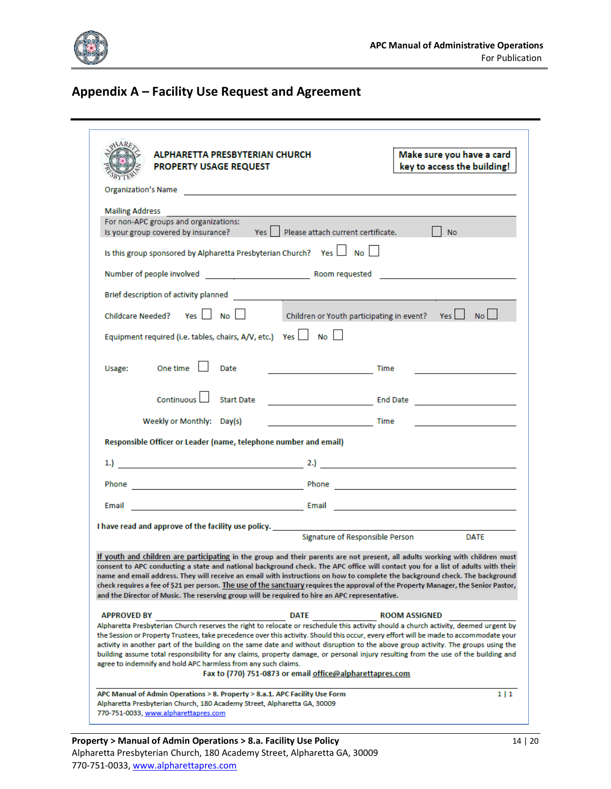

# <span id="page-13-0"></span>**Appendix A – Facility Use Request and Agreement**

|                        | ALPHARETTA PRESBYTERIAN CHURCH<br><b>PROPERTY USAGE REQUEST</b>  |                                                                                                                | Make sure you have a card<br>key to access the building!                                                                                                                                                                                                                                                                                                                                                                                                                                                                                                    |
|------------------------|------------------------------------------------------------------|----------------------------------------------------------------------------------------------------------------|-------------------------------------------------------------------------------------------------------------------------------------------------------------------------------------------------------------------------------------------------------------------------------------------------------------------------------------------------------------------------------------------------------------------------------------------------------------------------------------------------------------------------------------------------------------|
|                        |                                                                  | Organization's Name and the company of the company of the company of the company of the company of the company |                                                                                                                                                                                                                                                                                                                                                                                                                                                                                                                                                             |
| <b>Mailing Address</b> | For non-APC groups and organizations:                            | Is your group covered by insurance? Yes   Please attach current certificate.                                   | $\blacksquare$ No                                                                                                                                                                                                                                                                                                                                                                                                                                                                                                                                           |
|                        |                                                                  | Is this group sponsored by Alpharetta Presbyterian Church? Yes I No                                            |                                                                                                                                                                                                                                                                                                                                                                                                                                                                                                                                                             |
|                        |                                                                  |                                                                                                                | Number of people involved entering the state of the Room requested and the state of the state of the state of the state of the state of the state of the state of the state of the state of the state of the state of the stat                                                                                                                                                                                                                                                                                                                              |
|                        |                                                                  |                                                                                                                |                                                                                                                                                                                                                                                                                                                                                                                                                                                                                                                                                             |
|                        | Childcare Needed? Yes   No                                       |                                                                                                                | Children or Youth participating in event? Yes   No                                                                                                                                                                                                                                                                                                                                                                                                                                                                                                          |
|                        | Equipment required (i.e. tables, chairs, A/V, etc.) Yes   No     |                                                                                                                |                                                                                                                                                                                                                                                                                                                                                                                                                                                                                                                                                             |
| Usage: One time        | Date                                                             | <b>Time</b> Time                                                                                               |                                                                                                                                                                                                                                                                                                                                                                                                                                                                                                                                                             |
|                        | Continuous Start Date                                            |                                                                                                                | <u>End Date and Service and Service and Service and Service and Service and Service and Service and Service and S</u>                                                                                                                                                                                                                                                                                                                                                                                                                                       |
|                        | Weekly or Monthly: Day(s)                                        |                                                                                                                | the control of the control of the control of                                                                                                                                                                                                                                                                                                                                                                                                                                                                                                                |
|                        | Responsible Officer or Leader (name, telephone number and email) |                                                                                                                |                                                                                                                                                                                                                                                                                                                                                                                                                                                                                                                                                             |
|                        |                                                                  |                                                                                                                |                                                                                                                                                                                                                                                                                                                                                                                                                                                                                                                                                             |
|                        |                                                                  |                                                                                                                |                                                                                                                                                                                                                                                                                                                                                                                                                                                                                                                                                             |
|                        |                                                                  |                                                                                                                |                                                                                                                                                                                                                                                                                                                                                                                                                                                                                                                                                             |
|                        |                                                                  |                                                                                                                |                                                                                                                                                                                                                                                                                                                                                                                                                                                                                                                                                             |
|                        |                                                                  | Signature of Responsible Person                                                                                | <b>DATE</b>                                                                                                                                                                                                                                                                                                                                                                                                                                                                                                                                                 |
|                        |                                                                  |                                                                                                                | If youth and children are participating in the group and their parents are not present, all adults working with children must                                                                                                                                                                                                                                                                                                                                                                                                                               |
|                        |                                                                  | and the Director of Music. The reserving group will be required to hire an APC representative.                 | consent to APC conducting a state and national background check. The APC office will contact you for a list of adults with their<br>name and email address. They will receive an email with instructions on how to complete the background check. The background<br>check requires a fee of \$21 per person. The use of the sanctuary requires the approval of the Property Manager, the Senior Pastor,                                                                                                                                                     |
| <b>APPROVED BY</b>     |                                                                  | <b>DATE</b>                                                                                                    | <b>ROOM ASSIGNED</b>                                                                                                                                                                                                                                                                                                                                                                                                                                                                                                                                        |
|                        | agree to indemnify and hold APC harmless from any such claims.   | Fax to (770) 751-0873 or email office@alpharettapres.com                                                       | Alpharetta Presbyterian Church reserves the right to relocate or reschedule this activity should a church activity, deemed urgent by<br>the Session or Property Trustees, take precedence over this activity. Should this occur, every effort will be made to accommodate your<br>activity in another part of the building on the same date and without disruption to the above group activity. The groups using the<br>building assume total responsibility for any claims, property damage, or personal injury resulting from the use of the building and |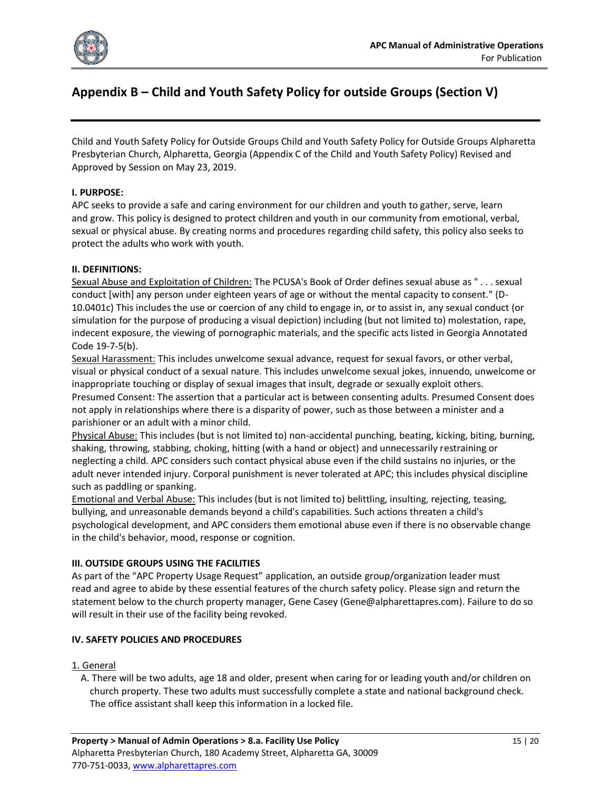

# <span id="page-14-0"></span>**Appendix B – Child and Youth Safety Policy for outside Groups (Section V)**

Child and Youth Safety Policy for Outside Groups Child and Youth Safety Policy for Outside Groups Alpharetta Presbyterian Church, Alpharetta, Georgia (Appendix C of the Child and Youth Safety Policy) Revised and Approved by Session on May 23, 2019.

#### **I. PURPOSE:**

APC seeks to provide a safe and caring environment for our children and youth to gather, serve, learn and grow. This policy is designed to protect children and youth in our community from emotional, verbal, sexual or physical abuse. By creating norms and procedures regarding child safety, this policy also seeks to protect the adults who work with youth.

#### **II. DEFINITIONS:**

Sexual Abuse and Exploitation of Children: The PCUSA's Book of Order defines sexual abuse as " . . . sexual conduct [with] any person under eighteen years of age or without the mental capacity to consent." (D-10.0401c) This includes the use or coercion of any child to engage in, or to assist in, any sexual conduct (or simulation for the purpose of producing a visual depiction) including (but not limited to) molestation, rape, indecent exposure, the viewing of pornographic materials, and the specific acts listed in Georgia Annotated Code 19-7-5(b).

Sexual Harassment: This includes unwelcome sexual advance, request for sexual favors, or other verbal, visual or physical conduct of a sexual nature. This includes unwelcome sexual jokes, innuendo, unwelcome or inappropriate touching or display of sexual images that insult, degrade or sexually exploit others. Presumed Consent: The assertion that a particular act is between consenting adults. Presumed Consent does not apply in relationships where there is a disparity of power, such as those between a minister and a parishioner or an adult with a minor child.

Physical Abuse: This includes (but is not limited to) non-accidental punching, beating, kicking, biting, burning, shaking, throwing, stabbing, choking, hitting (with a hand or object) and unnecessarily restraining or neglecting a child. APC considers such contact physical abuse even if the child sustains no injuries, or the adult never intended injury. Corporal punishment is never tolerated at APC; this includes physical discipline such as paddling or spanking.

Emotional and Verbal Abuse: This includes (but is not limited to) belittling, insulting, rejecting, teasing, bullying, and unreasonable demands beyond a child's capabilities. Such actions threaten a child's psychological development, and APC considers them emotional abuse even if there is no observable change in the child's behavior, mood, response or cognition.

#### **III. OUTSIDE GROUPS USING THE FACILITIES**

As part of the "APC Property Usage Request" application, an outside group/organization leader must read and agree to abide by these essential features of the church safety policy. Please sign and return the statement below to the church property manager, Gene Casey (Gene@alpharettapres.com). Failure to do so will result in their use of the facility being revoked.

#### **IV. SAFETY POLICIES AND PROCEDURES**

#### 1. General

A. There will be two adults, age 18 and older, present when caring for or leading youth and/or children on church property. These two adults must successfully complete a state and national background check. The office assistant shall keep this information in a locked file.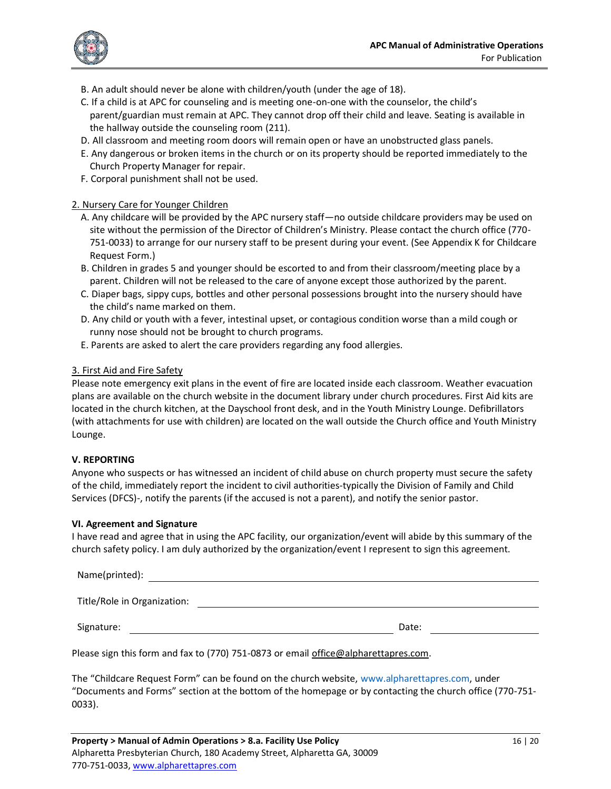

- B. An adult should never be alone with children/youth (under the age of 18).
- C. If a child is at APC for counseling and is meeting one-on-one with the counselor, the child's parent/guardian must remain at APC. They cannot drop off their child and leave. Seating is available in the hallway outside the counseling room (211).
- D. All classroom and meeting room doors will remain open or have an unobstructed glass panels.
- E. Any dangerous or broken items in the church or on its property should be reported immediately to the Church Property Manager for repair.
- F. Corporal punishment shall not be used.

#### 2. Nursery Care for Younger Children

- A. Any childcare will be provided by the APC nursery staff—no outside childcare providers may be used on site without the permission of the Director of Children's Ministry. Please contact the church office (770- 751-0033) to arrange for our nursery staff to be present during your event. (See Appendix K for Childcare Request Form.)
- B. Children in grades 5 and younger should be escorted to and from their classroom/meeting place by a parent. Children will not be released to the care of anyone except those authorized by the parent.
- C. Diaper bags, sippy cups, bottles and other personal possessions brought into the nursery should have the child's name marked on them.
- D. Any child or youth with a fever, intestinal upset, or contagious condition worse than a mild cough or runny nose should not be brought to church programs.
- E. Parents are asked to alert the care providers regarding any food allergies.

#### 3. First Aid and Fire Safety

Please note emergency exit plans in the event of fire are located inside each classroom. Weather evacuation plans are available on the church website in the document library under church procedures. First Aid kits are located in the church kitchen, at the Dayschool front desk, and in the Youth Ministry Lounge. Defibrillators (with attachments for use with children) are located on the wall outside the Church office and Youth Ministry Lounge.

#### **V. REPORTING**

Anyone who suspects or has witnessed an incident of child abuse on church property must secure the safety of the child, immediately report the incident to civil authorities-typically the Division of Family and Child Services (DFCS)-, notify the parents (if the accused is not a parent), and notify the senior pastor.

#### **VI. Agreement and Signature**

I have read and agree that in using the APC facility, our organization/event will abide by this summary of the church safety policy. I am duly authorized by the organization/event I represent to sign this agreement.

| Name(printed):              |       |  |
|-----------------------------|-------|--|
| Title/Role in Organization: |       |  |
| Signature:                  | Date: |  |

Please sign this form and fax to (770) 751-0873 or email [office@alpharettapres.com.](mailto:office@alpharettapres.com)

The "Childcare Request Form" can be found on the church website, www.alpharettapres.com, under "Documents and Forms" section at the bottom of the homepage or by contacting the church office (770-751- 0033).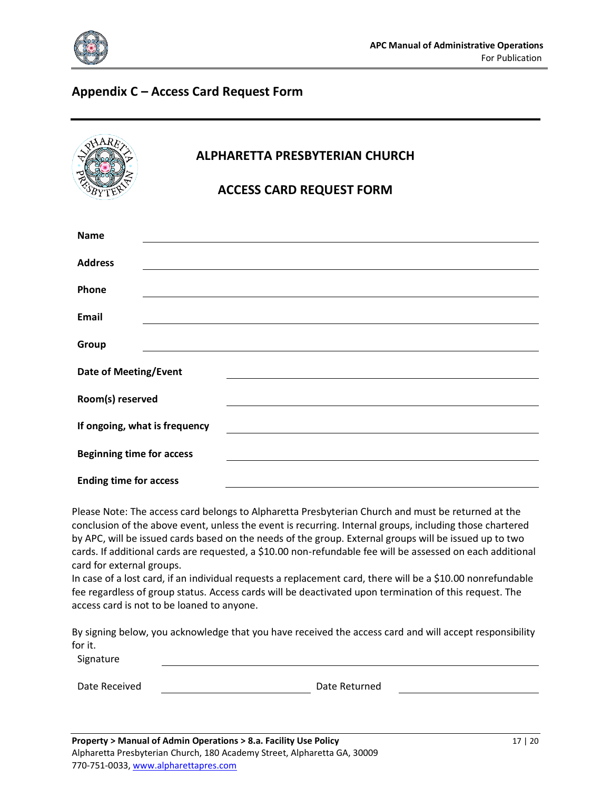

# <span id="page-16-0"></span>**Appendix C – Access Card Request Form**

|                                  | <b>ALPHARETTA PRESBYTERIAN CHURCH</b><br><b>ACCESS CARD REQUEST FORM</b> |  |  |
|----------------------------------|--------------------------------------------------------------------------|--|--|
| <b>Name</b>                      |                                                                          |  |  |
| <b>Address</b>                   |                                                                          |  |  |
| Phone                            |                                                                          |  |  |
| <b>Email</b>                     |                                                                          |  |  |
| Group                            |                                                                          |  |  |
| <b>Date of Meeting/Event</b>     |                                                                          |  |  |
| Room(s) reserved                 |                                                                          |  |  |
| If ongoing, what is frequency    |                                                                          |  |  |
| <b>Beginning time for access</b> |                                                                          |  |  |
|                                  | <b>Ending time for access</b>                                            |  |  |

Please Note: The access card belongs to Alpharetta Presbyterian Church and must be returned at the conclusion of the above event, unless the event is recurring. Internal groups, including those chartered by APC, will be issued cards based on the needs of the group. External groups will be issued up to two cards. If additional cards are requested, a \$10.00 non-refundable fee will be assessed on each additional card for external groups.

In case of a lost card, if an individual requests a replacement card, there will be a \$10.00 nonrefundable fee regardless of group status. Access cards will be deactivated upon termination of this request. The access card is not to be loaned to anyone.

By signing below, you acknowledge that you have received the access card and will accept responsibility for it.

Signature

Date Received **Date Returned**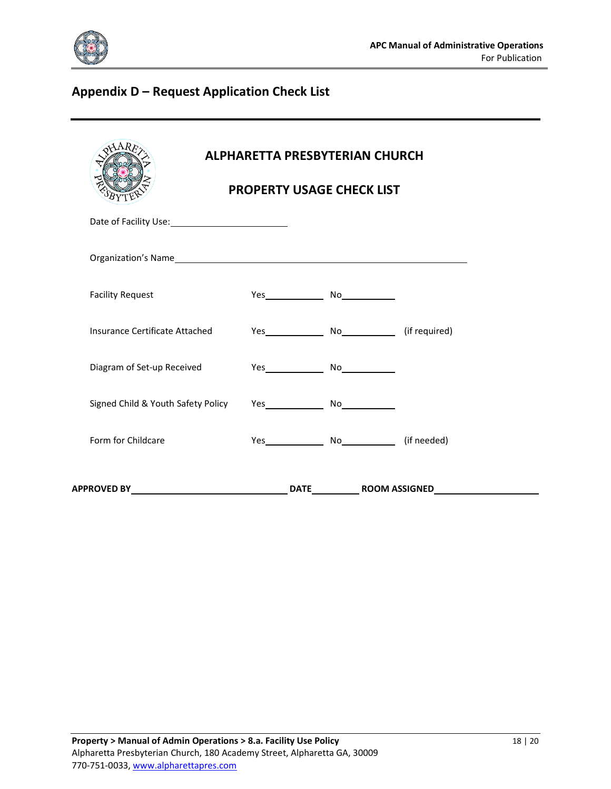

# <span id="page-17-0"></span>**Appendix D – Request Application Check List**

| <b>ALPHARETTA PRESBYTERIAN CHURCH</b><br><b>PROPERTY USAGE CHECK LIST</b> |  |  |  |
|---------------------------------------------------------------------------|--|--|--|
|                                                                           |  |  |  |
|                                                                           |  |  |  |
| <b>Facility Request</b>                                                   |  |  |  |
| Insurance Certificate Attached                                            |  |  |  |
| Diagram of Set-up Received                                                |  |  |  |
| Signed Child & Youth Safety Policy                                        |  |  |  |
| Form for Childcare                                                        |  |  |  |
|                                                                           |  |  |  |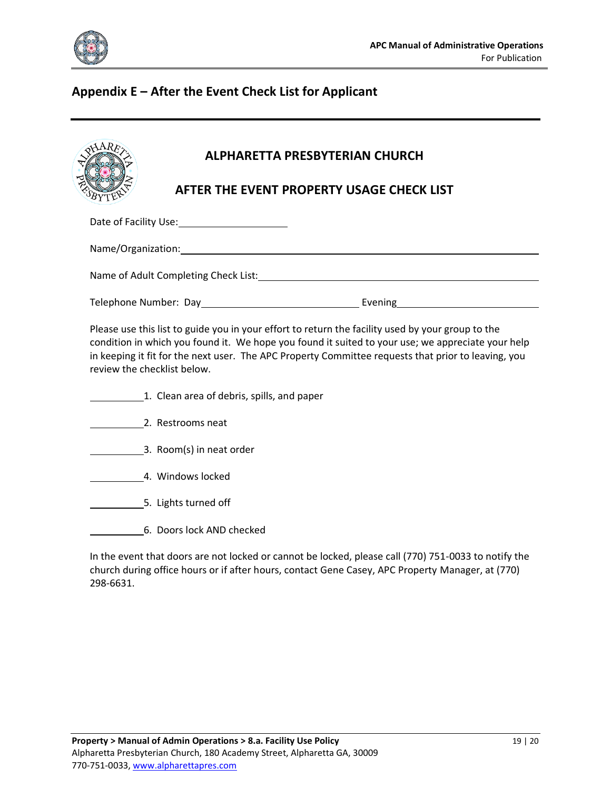

# <span id="page-18-0"></span>**Appendix E – After the Event Check List for Applicant**

|  | <b>ALPHARETTA PRESBYTERIAN CHURCH</b> |                                                                                                                                                                                                                                                                                                                                     |  |
|--|---------------------------------------|-------------------------------------------------------------------------------------------------------------------------------------------------------------------------------------------------------------------------------------------------------------------------------------------------------------------------------------|--|
|  |                                       | AFTER THE EVENT PROPERTY USAGE CHECK LIST                                                                                                                                                                                                                                                                                           |  |
|  |                                       |                                                                                                                                                                                                                                                                                                                                     |  |
|  |                                       |                                                                                                                                                                                                                                                                                                                                     |  |
|  |                                       |                                                                                                                                                                                                                                                                                                                                     |  |
|  |                                       |                                                                                                                                                                                                                                                                                                                                     |  |
|  |                                       | Please use this list to guide you in your effort to return the facility used by your group to the<br>a collection of the distribution of the market and the collection of the distribution of the collection of the distribution of the collection of the collection of the collection of the collection of the collection of the c |  |

condition in which you found it. We hope you found it suited to your use; we appreciate your help in keeping it fit for the next user. The APC Property Committee requests that prior to leaving, you review the checklist below.

- 1. Clean area of debris, spills, and paper
- 2. Restrooms neat
- 3. Room(s) in neat order
- 4. Windows locked
- **EXECUTE:** 5. Lights turned off
- 6. Doors lock AND checked

In the event that doors are not locked or cannot be locked, please call (770) 751-0033 to notify the church during office hours or if after hours, contact Gene Casey, APC Property Manager, at (770) 298-6631.